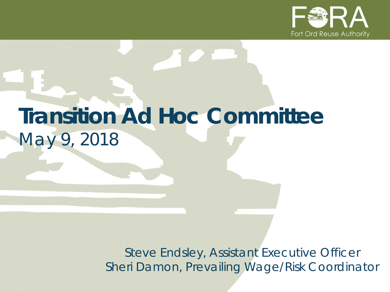

# **Transition Ad Hoc Committee** *May 9, 2018*

*Steve Endsley, Assistant Executive Officer Sheri Damon, Prevailing Wage/Risk Coordinator*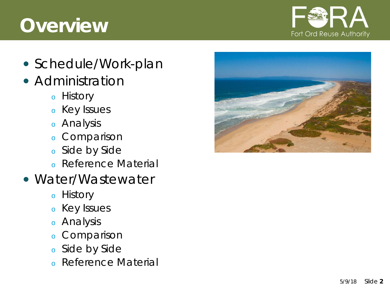## **Overview**



- Schedule/Work-plan
- Administration
	- <sup>o</sup> History
	- <sup>o</sup> Key Issues
	- <sup>o</sup> Analysis
	- <sup>o</sup> Comparison
	- <sup>o</sup> Side by Side
	- <sup>o</sup> Reference Material
- Water/Wastewater
	- <sup>o</sup> History
	- <sup>o</sup> Key Issues
	- <sup>o</sup> Analysis
	- <sup>o</sup> Comparison
	- <sup>o</sup> Side by Side
	- <sup>o</sup> Reference Material

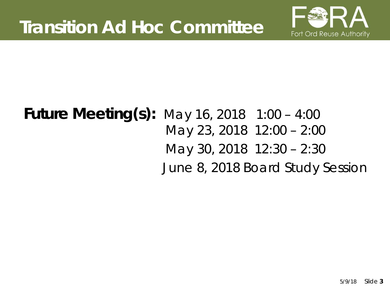

## **Future Meeting(s):** May 16, 2018 1:00 – 4:00 May 23, 2018 12:00 – 2:00 May 30, 2018 12:30 – 2:30 June 8, 2018 Board Study Session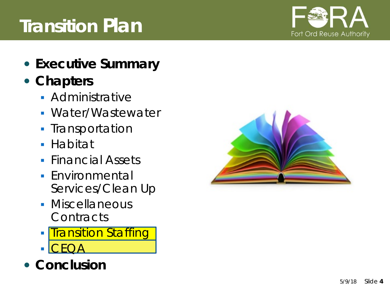#### $5/9/18$ **4**

## **Transition Plan**

- **Executive Summary**
- **Chapters**
	- **Administrative**
	- Water/Wastewater
	- **Transportation**
	- Habitat
	- **Financial Assets**
	- **Environmental** Services/Clean Up
	- **Miscellaneous Contracts**
	- **Transition Staffing**
	- CEQA
- **Conclusion**



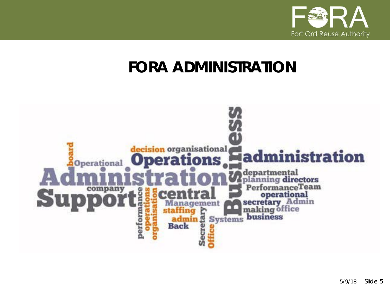

## **FORA ADMINISTRATION**

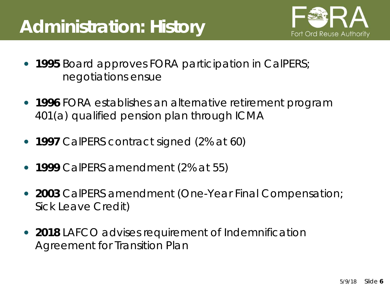## **Administration: History**



- **1995** Board approves FORA participation in CalPERS; negotiations ensue
- **1996** FORA establishes an alternative retirement program 401(a) qualified pension plan through ICMA
- **1997** CalPERS contract signed (2% at 60)
- **1999** CalPERS amendment (2% at 55)
- **2003** CalPERS amendment (One-Year Final Compensation; Sick Leave Credit)
- **2018** LAFCO advises requirement of Indemnification Agreement for Transition Plan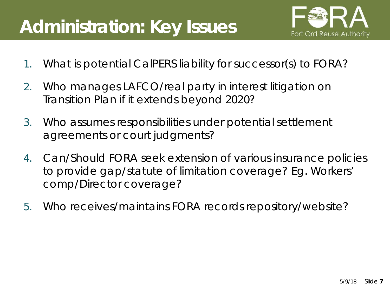## **Administration: Key Issues**



- 1. What is potential CalPERS liability for successor(s) to FORA?
- 2. Who manages LAFCO/real party in interest litigation on Transition Plan if it extends beyond 2020?
- 3. Who assumes responsibilities under potential settlement agreements or court judgments?
- 4. Can/Should FORA seek extension of various insurance policies to provide gap/statute of limitation coverage? Eg. Workers' comp/Director coverage?
- 5. Who receives/maintains FORA records repository/website?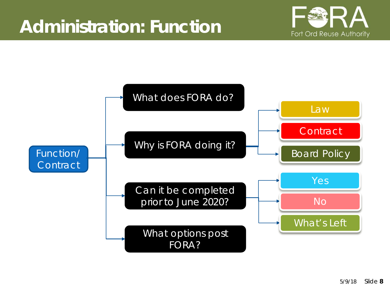

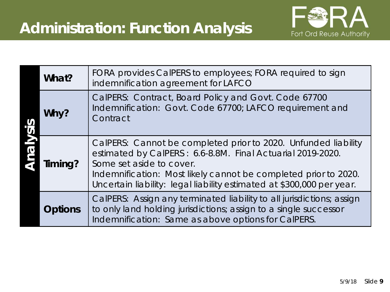

| What?   | FORA provides CaIPERS to employees; FORA required to sign<br>indemnification agreement for LAFCO                                                                                                                                                                                                     |  |
|---------|------------------------------------------------------------------------------------------------------------------------------------------------------------------------------------------------------------------------------------------------------------------------------------------------------|--|
| Why?    | CalPERS: Contract, Board Policy and Govt. Code 67700<br>Indemnification: Govt. Code 67700; LAFCO requirement and<br>Contract                                                                                                                                                                         |  |
| Timing? | CalPERS: Cannot be completed prior to 2020. Unfunded liability<br>estimated by CalPERS: 6.6-8.8M. Final Actuarial 2019-2020.<br>Some set aside to cover.<br>Indemnification: Most likely cannot be completed prior to 2020.<br>Uncertain liability: legal liability estimated at \$300,000 per year. |  |
| Options | CalPERS: Assign any terminated liability to all jurisdictions; assign<br>to only land holding jurisdictions; assign to a single successor<br>Indemnification: Same as above options for CalPERS.                                                                                                     |  |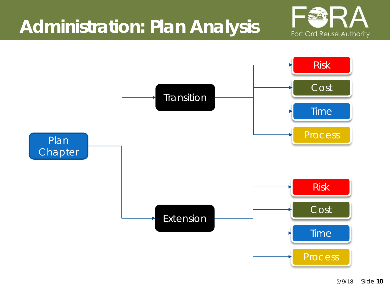## **Administration: Plan Analysis**



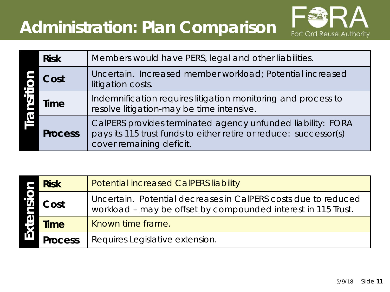## **Administration: Plan Comparison**



| <b>Risk</b> |                | Members would have PERS, legal and other liabilities.                                                                                                        |
|-------------|----------------|--------------------------------------------------------------------------------------------------------------------------------------------------------------|
| Cost        |                | Uncertain. Increased member workload; Potential increased<br>litigation costs.                                                                               |
|             | Time           | Indemnification requires litigation monitoring and process to<br>resolve litigation-may be time intensive.                                                   |
|             | <b>Process</b> | CalPERS provides terminated agency unfunded liability: FORA<br>pays its 115 trust funds to either retire or reduce: successor(s)<br>cover remaining deficit. |

|      | <b>Risk</b>    | <b>Potential increased CalPERS liability</b>                                                                                    |
|------|----------------|---------------------------------------------------------------------------------------------------------------------------------|
| Cost |                | Uncertain. Potential decreases in CalPERS costs due to reduced<br>workload – may be offset by compounded interest in 115 Trust. |
|      | <b>Time</b>    | Known time frame.                                                                                                               |
|      | <b>Process</b> | Requires Legislative extension.                                                                                                 |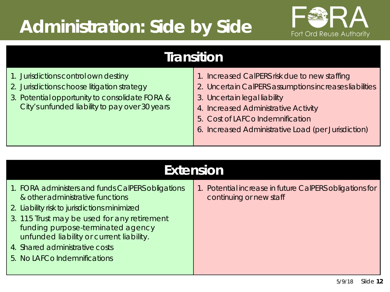## **Administration: Side by Side**



#### **Transition**

| 1. Jurisdictions control own destiny           | 1. Increased CalPERS risk due to new staffing          |  |
|------------------------------------------------|--------------------------------------------------------|--|
| 2. Jurisdictions choose litigation strategy    | 2. Uncertain CalPERS assumptions increases liabilities |  |
| 3. Potential opportunity to consolidate FORA & | 3. Uncertain legal liability                           |  |
| City's unfunded liability to pay over 30 years | 4. Increased Administrative Activity                   |  |
|                                                | 5. Cost of LAFCo Indemnification                       |  |
|                                                | 6. Increased Administrative Load (per Jurisdiction)    |  |
|                                                |                                                        |  |

| <b>Extension</b>                                                                                                                                                                                                                                                                                                                        |                                                                                    |  |  |  |  |
|-----------------------------------------------------------------------------------------------------------------------------------------------------------------------------------------------------------------------------------------------------------------------------------------------------------------------------------------|------------------------------------------------------------------------------------|--|--|--|--|
| 1. FORA administers and funds CalPERS obligations<br>& other administrative functions<br>2. Liability risk to jurisdictions minimized<br>3. 115 Trust may be used for any retirement<br>funding purpose-terminated agency<br>unfunded liability or current liability.<br>4. Shared administrative costs<br>5. No LAFCo Indemnifications | 1. Potential increase in future CalPERS obligations for<br>continuing or new staff |  |  |  |  |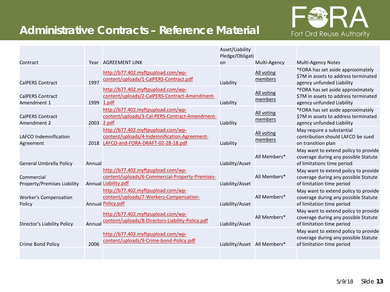#### **Administrative Contracts – Reference Material**



|                                           |            |                                                                                                                         | Asset/Liability<br>Pledge/Obligati |                       |                                                                                                            |
|-------------------------------------------|------------|-------------------------------------------------------------------------------------------------------------------------|------------------------------------|-----------------------|------------------------------------------------------------------------------------------------------------|
| Contract                                  |            | Year AGREEMENT LINK                                                                                                     | on                                 | Multi-Agency          | <b>Multi-Agency Notes</b>                                                                                  |
| <b>CalPERS Contract</b>                   | 1997       | http://b77.402.myftpupload.com/wp-<br>content/uploads/1-CalPERS-Contract.pdf                                            | Liability                          | All voting<br>members | *FORA has set aside approximately<br>\$7M in assets to address terminated<br>agency unfunded Liability     |
| <b>CalPERS Contract</b><br>Amendment 1    | 1999 1.pdf | http://b77.402.myftpupload.com/wp-<br>content/uploads/2-CalPERS-Contract-Amendment-                                     | Liability                          | All voting<br>members | *FORA has set aside approximately<br>\$7M in assets to address terminated<br>agency unfunded Liability     |
| <b>CalPERS Contract</b><br>Amendment 2    | 2003 2.pdf | http://b77.402.myftpupload.com/wp-<br>content/uploads/3-Cal-PERS-Contract-Amendment-                                    | Liability                          | All voting<br>members | *FORA has set aside approximately<br>\$7M in assets to address terminated<br>agency unfunded Liability     |
| LAFCO Indemnification<br>Agreement        | 2018       | http://b77.402.myftpupload.com/wp-<br>content/uploads/4-Indemnification-Agreement-<br>LAFCO-and-FORA-DRAFT-02-28-18.pdf | Liability                          | All voting<br>members | May require a substantial<br>contribution should LAFCO be sued<br>on transition plan                       |
| <b>General Umbrella Policy</b>            | Annual     |                                                                                                                         | Liability/Asset                    | All Members*          | May want to extend policy to provide<br>coverage during any possible Statute<br>of limitations time period |
| Commercial<br>Property/Premises Liability |            | http://b77.402.myftpupload.com/wp-<br>content/uploads/6-Commercial-Property-Premises-<br>Annual Liability.pdf           | Liability/Asset                    | All Members*          | May want to extend policy to provide<br>coverage during any possible Statute<br>of limitation time period  |
| <b>Worker's Compensation</b><br>Policy    |            | http://b77.402.myftpupload.com/wp-<br>content/uploads/7-Workers-Compensation-<br><b>Annual Policy.pdf</b>               | Liability/Asset                    | All Members*          | May want to extend policy to provide<br>coverage during any possible Statute<br>of limitation time period  |
| Director's Liability Policy               | Annual     | http://b77.402.myftpupload.com/wp-<br>content/uploads/8-Directors-Liability-Policy.pdf                                  | Liability/Asset                    | All Members*          | May want to extend policy to provide<br>coverage during any possible Statute<br>of limitation time period  |
| Crime Bond Policy                         | 2006       | http://b77.402.myftpupload.com/wp-<br>content/uploads/9-Crime-bond-Policy.pdf                                           | Liability/Asset All Members*       |                       | May want to extend policy to provide<br>coverage during any possible Statute<br>of limitation time period  |
|                                           |            |                                                                                                                         |                                    |                       |                                                                                                            |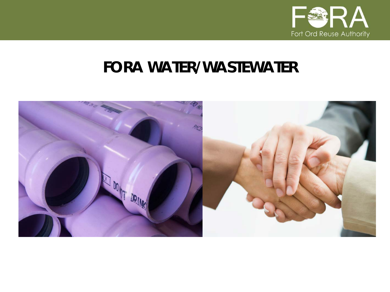

### **FORA WATER/WASTEWATER**

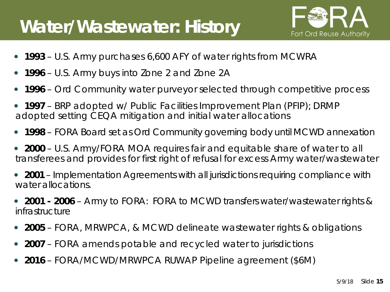## **Water/Wastewater: History**



- **1993**  U.S. Army purchases 6,600 AFY of water rights from MCWRA
- **1996**  U.S. Army buys into Zone 2 and Zone 2A
- **1996**  Ord Community water purveyor selected through competitive process
- **1997**  BRP adopted w/ Public Facilities Improvement Plan (PFIP); DRMP adopted setting CEQA mitigation and initial water allocations
- **1998** FORA Board set as Ord Community governing body until MCWD annexation
- **2000**  U.S. Army/FORA MOA requires fair and equitable share of water to all transferees and provides for first right of refusal for excess Army water/wastewater
- **2001**  Implementation Agreements with all jurisdictions requiring compliance with water allocations.
- **2001 - 2006**  Army to FORA: FORA to MCWD transfers water/wastewater rights & infrastructure
- **2005** FORA, MRWPCA, & MCWD delineate wastewater rights & obligations
- **2007** FORA amends potable and recycled water to jurisdictions
- **2016**  FORA/MCWD/MRWPCA RUWAP Pipeline agreement (\$6M)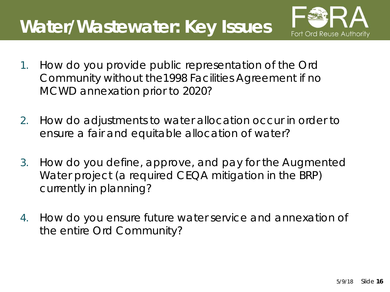## **Water/Wastewater: Key Issues**



- 1. How do you provide public representation of the Ord Community without the1998 Facilities Agreement if no MCWD annexation prior to 2020?
- 2. How do adjustments to water allocation occur in order to ensure a fair and equitable allocation of water?
- 3. How do you define, approve, and pay for the Augmented Water project (a required CEQA mitigation in the BRP) currently in planning?
- 4. How do you ensure future water service and annexation of the entire Ord Community?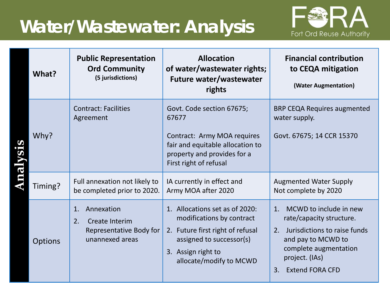## **Water/Wastewater: Analysis**



| What?          | <b>Public Representation</b><br><b>Ord Community</b><br>(5 jurisdictions)              | <b>Allocation</b><br>of water/wastewater rights;<br><b>Future water/wastewater</b><br>rights                                                                                 | <b>Financial contribution</b><br>to CEQA mitigation<br>(Water Augmentation)                                                                                                                  |
|----------------|----------------------------------------------------------------------------------------|------------------------------------------------------------------------------------------------------------------------------------------------------------------------------|----------------------------------------------------------------------------------------------------------------------------------------------------------------------------------------------|
| Why?           | <b>Contract: Facilities</b><br>Agreement                                               | Govt. Code section 67675;<br>67677<br>Contract: Army MOA requires<br>fair and equitable allocation to<br>property and provides for a<br>First right of refusal               | <b>BRP CEQA Requires augmented</b><br>water supply.<br>Govt. 67675; 14 CCR 15370                                                                                                             |
| Timing?        | Full annexation not likely to<br>be completed prior to 2020.                           | IA currently in effect and<br>Army MOA after 2020                                                                                                                            | <b>Augmented Water Supply</b><br>Not complete by 2020                                                                                                                                        |
| <b>Options</b> | Annexation<br>1.<br>2.<br>Create Interim<br>Representative Body for<br>unannexed areas | 1. Allocations set as of 2020:<br>modifications by contract<br>2. Future first right of refusal<br>assigned to successor(s)<br>3. Assign right to<br>allocate/modify to MCWD | MCWD to include in new<br>1.<br>rate/capacity structure.<br>2. Jurisdictions to raise funds<br>and pay to MCWD to<br>complete augmentation<br>project. (IAs)<br><b>Extend FORA CFD</b><br>3. |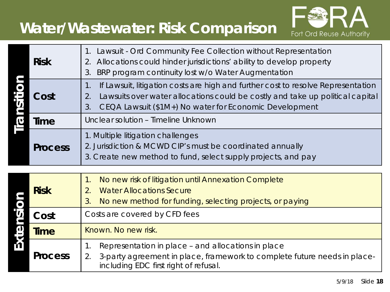### **Water/Wastewater: Risk Comparison**



|          | <b>Risk</b>    | Lawsuit - Ord Community Fee Collection without Representation<br>$1_{\cdot}$<br>Allocations could hinder jurisdictions' ability to develop property<br>2.<br>BRP program continuity lost w/o Water Augmentation<br>3.                         |
|----------|----------------|-----------------------------------------------------------------------------------------------------------------------------------------------------------------------------------------------------------------------------------------------|
| insiti   | Cost           | If Lawsuit, litigation costs are high and further cost to resolve Representation<br>1.<br>Lawsuits over water allocations could be costly and take up political capital<br>2.<br>CEQA Lawsuit (\$1M+) No water for Economic Development<br>3. |
| <b>D</b> | Time           | Unclear solution - Timeline Unknown                                                                                                                                                                                                           |
|          | <b>Process</b> | 1. Multiple litigation challenges<br>2. Jurisdiction & MCWD CIP's must be coordinated annually<br>3. Create new method to fund, select supply projects, and pay                                                                               |
|          |                |                                                                                                                                                                                                                                               |
|          | <b>Risk</b>    | No new risk of litigation until Annexation Complete<br>$\mathbf 1$ .<br><b>Water Allocations Secure</b><br>2.<br>No new method for funding, selecting projects, or paying<br>3.                                                               |
| nsi      | Cost           | Costs are covered by CFD fees                                                                                                                                                                                                                 |
| Exter    | <b>Time</b>    | Known. No new risk.                                                                                                                                                                                                                           |
|          | <b>Process</b> | Representation in place - and allocations in place<br>1.<br>3-party agreement in place, framework to complete future needs in place-<br>2.<br>including EDC first right of refusal.                                                           |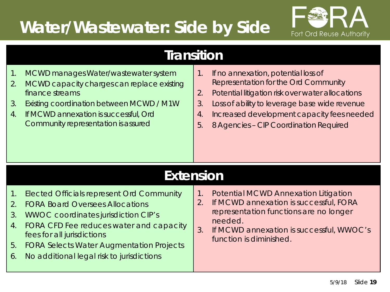## **Water/Wastewater: Side by Side**



|  | <b>Transition</b> |  |
|--|-------------------|--|
|  |                   |  |

- 1. MCWD manages Water/wastewater system
- 2. MCWD capacity charges can replace existing finance streams
- 3. Existing coordination between MCWD / M1W
- 4. If MCWD annexation is successful, Ord Community representation is assured
- 1. If no annexation, potential loss of Representation for the Ord Community
- 2. Potential litigation risk over water allocations
- 3. Loss of ability to leverage base wide revenue
- 4. Increased development capacity fees needed
- 5. 8 Agencies CIP Coordination Required

#### **Extension**

- 1. Elected Officials represent Ord Community
- 2. FORA Board Oversees Allocations
- 3. WWOC coordinates jurisdiction CIP's
- 4. FORA CFD Fee reduces water and capacity fees for all jurisdictions
- 5. FORA Selects Water Augmentation Projects
- 6. No additional legal risk to jurisdictions
- 1. Potential MCWD Annexation Litigation
- 2. If MCWD annexation is successful, FORA representation functions are no longer needed.
- 3. If MCWD annexation is successful, WWOC's function is diminished.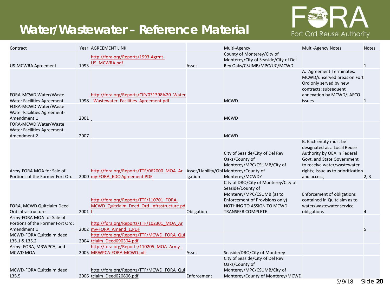#### **Water/Wastewater – Reference Material**



| Contract                                              |          | Year AGREEMENT LINK                                                              |             | Multi-Agency                         | Multi-Agency Notes                 | <b>Notes</b> |
|-------------------------------------------------------|----------|----------------------------------------------------------------------------------|-------------|--------------------------------------|------------------------------------|--------------|
|                                                       |          | http://fora.org/Reports/1993-Agrmt-                                              |             | County of Monterey/City of           |                                    |              |
|                                                       |          | US_MCWRA.pdf                                                                     |             | Monterey/City of Seaside/City of Del |                                    |              |
| <b>US-MCWRA Agreement</b>                             | 1993     |                                                                                  | Asset       | Rey Oaks/CSUMB/MPC/UC/MCWD           |                                    | $\mathbf{1}$ |
|                                                       |          |                                                                                  |             |                                      | A. Agreement Terminates.           |              |
|                                                       |          |                                                                                  |             |                                      | MCWD/unserved areas on Fort        |              |
|                                                       |          |                                                                                  |             |                                      | Ord only served by new             |              |
|                                                       |          |                                                                                  |             |                                      | contracts; subsequent              |              |
| FORA-MCWD Water/Waste                                 |          | http://fora.org/Reports/CIP/031398%20 Water                                      |             |                                      | annexation by MCWD/LAFCO           |              |
| <b>Water Facilities Agreement</b>                     |          | 1998 Wastewater Facilities Agreement.pdf                                         |             | <b>MCWD</b>                          | issues                             |              |
| FORA-MCWD Water/Waste                                 |          |                                                                                  |             |                                      |                                    |              |
| <b>Water Facilities Agreement-</b>                    |          |                                                                                  |             |                                      |                                    |              |
| Amendment 1                                           | 2001     |                                                                                  |             | <b>MCWD</b>                          |                                    |              |
| FORA-MCWD Water/Waste<br>Water Facilities Agreement - |          |                                                                                  |             |                                      |                                    |              |
| Amendment 2                                           | 2007     |                                                                                  |             | <b>MCWD</b>                          |                                    |              |
|                                                       |          |                                                                                  |             |                                      | B. Each entity must be             |              |
|                                                       |          |                                                                                  |             |                                      | designated as a Local Reuse        |              |
|                                                       |          |                                                                                  |             | City of Seaside/City of Del Rey      | Authority by OEA in Federal        |              |
|                                                       |          |                                                                                  |             | Oaks/County of                       | Govt. and State Government         |              |
|                                                       |          |                                                                                  |             | Monterey/MPC/CSUMB/City of           | to receive water/wastewater        |              |
| Army-FORA MOA for Sale of                             |          | http://fora.org/Reports/TTF/062000 MOA Ar Asset/Liability/Obl Monterey/County of |             |                                      | rights; Issue as to prioritization |              |
| Portions of the Former Fort Ord                       |          | 2000 my-FORA EDC-Agreement.PDF                                                   | igation     | Monterey/MCWD?                       | and access;                        | 2, 3         |
|                                                       |          |                                                                                  |             | City of DRO/City of Monterey/City of |                                    |              |
|                                                       |          |                                                                                  |             | Seaside/County of                    |                                    |              |
|                                                       |          |                                                                                  |             | Monterey/MPC/CSUMB (as to            | <b>Enforcement of obligations</b>  |              |
|                                                       |          | http://fora.org/Reports/TTF/110701 FORA-                                         |             | Enforcement of Provisions only)      | contained in Quitclaim as to       |              |
| FORA, MCWD Quitclaim Deed                             |          | MCWD Quitclaim Deed Ord Infrastructure.pd                                        |             | NOTHING TO ASSIGN TO MCWD:           | water/wastewater service           |              |
| Ord infrastructure                                    | 2001 $f$ |                                                                                  | Obligation  | <b>TRANSFER COMPLETE</b>             | obligations                        | 4            |
| Army-FORA MOA for Sale of                             |          |                                                                                  |             |                                      |                                    |              |
| Portions of the Former Fort Ord:                      |          | http://fora.org/Reports/TTF/102301 MOA Ar                                        |             |                                      |                                    |              |
| Amendment 1                                           |          | 2002 my-FORA Amend 1.PDF                                                         |             |                                      |                                    |              |
| MCWD-FORA Quitclaim deed                              |          | http://fora.org/Reports/TTF/MCWD FORA Qui                                        |             |                                      |                                    |              |
| L35.1 & L35.2                                         |          | 2004 tclaim Deed090304.pdf                                                       |             |                                      |                                    |              |
| Army- FORA, MRWPCA, and                               |          | http://fora.org/Reports/110205 MOA Army                                          |             |                                      |                                    |              |
| <b>MCWD MOA</b>                                       |          | 2005 MRWPCA-FORA-MCWD.pdf                                                        | Asset       | Seaside/DRO/City of Monterey         |                                    |              |
|                                                       |          |                                                                                  |             | City of Seaside/City of Del Rey      |                                    |              |
|                                                       |          |                                                                                  |             | Oaks/County of                       |                                    |              |
| MCWD-FORA Quitclaim deed                              |          | http://fora.org/Reports/TTF/MCWD FORA Qui                                        |             | Monterey/MPC/CSUMB/City of           |                                    |              |
| L35.5                                                 |          | 2006 tclaim Deed020806.pdf                                                       | Enforcement | Monterey/County of Monterey/MCWD     |                                    |              |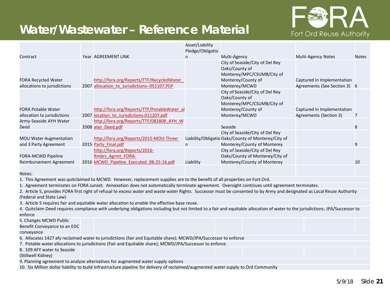#### **Water/Wastewater – Reference Material**



|                                                            |                                                                                                                                                                                | Asset/Liability<br>Pledge/Obligatio |                                                                                                                        |                                                            |              |
|------------------------------------------------------------|--------------------------------------------------------------------------------------------------------------------------------------------------------------------------------|-------------------------------------|------------------------------------------------------------------------------------------------------------------------|------------------------------------------------------------|--------------|
| Contract                                                   | Year AGREEMENT LINK                                                                                                                                                            |                                     | Multi-Agency                                                                                                           | <b>Multi-Agency Notes</b>                                  | <b>Notes</b> |
| <b>FORA Recycled Water</b><br>allocations to jurisdictions | http://fora.org/Reports/TTF/RecycledWater<br>2007 allocation to Jurisdictions--051107.PDF                                                                                      |                                     | City of Seaside/City of Del Rey<br>Oaks/County of<br>Monterey/MPC/CSUMB/City of<br>Monterey/County of<br>Monterey/MCWD | Captured in Implementation<br>Agreements (See Section 3) 6 |              |
| <b>FORA Potable Water</b>                                  | http://fora.org/Reports/TTF/PotableWater al                                                                                                                                    |                                     | City of Seaside/City of Del Rey<br>Oaks/County of<br>Monterey/MPC/CSUMB/City of<br>Monterey/County of                  | Captured in Implementation                                 |              |
| allocation to jurisdictions                                | 2007 location to Jurisdictions-011207.pdf                                                                                                                                      |                                     | Monterey/MCWD                                                                                                          | Agreements (Section 3)                                     | 7            |
| Army-Seaside AYH Water                                     | http://fora.org/Reports/TTF/082808 AYH W                                                                                                                                       |                                     |                                                                                                                        |                                                            |              |
| Deed                                                       | 2008 ater Deed.pdf                                                                                                                                                             |                                     | Seaside                                                                                                                |                                                            | 8            |
|                                                            |                                                                                                                                                                                |                                     | City of Seaside/City of Del Rey                                                                                        |                                                            |              |
| <b>MOU Water Augmentation</b>                              | http://fora.org/Reports/2015-MOU-Three-                                                                                                                                        |                                     | Liability/Obligatio Oaks/County of Monterey/City of                                                                    |                                                            |              |
| and 3 Party Agreement                                      | 2015 Party Final.pdf                                                                                                                                                           | n                                   | Monterey/County of Monterey                                                                                            |                                                            | 9            |
|                                                            | http://fora.org/Reports/2016-                                                                                                                                                  |                                     | City of Seaside/City of Del Rey                                                                                        |                                                            |              |
| FORA-MCWD Pipeline                                         | Rmbrs Agrmt FORA-                                                                                                                                                              |                                     | Oaks/County of Monterey/City of                                                                                        |                                                            |              |
| Reimbursement Agreement                                    | 2016 MCWD Pipeline Executed 08-25-16.pdf                                                                                                                                       | Liability                           | Monterey/County of Monterey                                                                                            |                                                            | 10           |
| Notes:                                                     |                                                                                                                                                                                |                                     |                                                                                                                        |                                                            |              |
|                                                            | 1. This Agreement was quitclaimed to MCWD. However, replacement supplies are to the benefit of all properties on Fort Ord.                                                     |                                     |                                                                                                                        |                                                            |              |
|                                                            | 1. Agreement terminates on FORA sunset. Annexation does not automatically terminate agreement. Oversight continues until agreement terminates.                                 |                                     |                                                                                                                        |                                                            |              |
| (Federal and State Law)                                    | 2. Article 5, provides FORA first right of refusal to excess water and waste water Rights. Successor must be consented to by Army and designated as Local Reuse Authority      |                                     |                                                                                                                        |                                                            |              |
|                                                            | 3. Article 5 requires fair and equitable water allocation to enable the effective base reuse.                                                                                  |                                     |                                                                                                                        |                                                            |              |
|                                                            | 4. Quitclaim Deed requires compliance with underlying obligations including but not limited to a fair and equitable allocation of water to the jurisdictions; JPA/Successor to |                                     |                                                                                                                        |                                                            |              |
| enforce                                                    |                                                                                                                                                                                |                                     |                                                                                                                        |                                                            |              |
| 5. Changes MCWD Public                                     |                                                                                                                                                                                |                                     |                                                                                                                        |                                                            |              |
| Benefit Conveyance to an EDC                               |                                                                                                                                                                                |                                     |                                                                                                                        |                                                            |              |
| conveyance                                                 |                                                                                                                                                                                |                                     |                                                                                                                        |                                                            |              |
|                                                            | 6. Allocates 1427 afy reclaimed water to jurisdictions (fair and Equitable share); MCWD/JPA/Successor to enforce                                                               |                                     |                                                                                                                        |                                                            |              |
|                                                            | 7. Potable water allocations to jurisdictions (Fair and Equitable share); MCWD/JPA/Successor to enforce                                                                        |                                     |                                                                                                                        |                                                            |              |
| 8. 109 AFY water to Seaside                                |                                                                                                                                                                                |                                     |                                                                                                                        |                                                            |              |
| (Stillwell Kidney)                                         |                                                                                                                                                                                |                                     |                                                                                                                        |                                                            |              |
|                                                            | 9. Planning agreement to analyze alternatives for augmented water supply options                                                                                               |                                     |                                                                                                                        |                                                            |              |
|                                                            | 10. Six Million dollar liability to build infrastructure pipeline for delivery of reclaimed/augmented water supply to Ord Community                                            |                                     |                                                                                                                        |                                                            |              |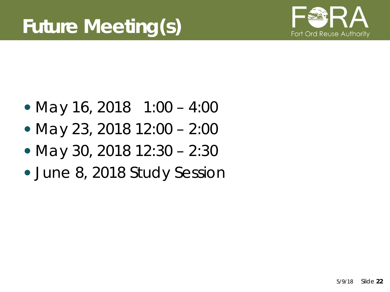

- May 16, 2018 1:00 4:00
- May 23, 2018 12:00 2:00
- May 30, 2018 12:30 2:30
- June 8, 2018 Study Session